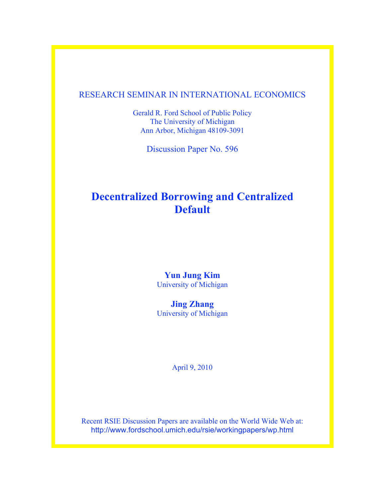### RESEARCH SEMINAR IN INTERNATIONAL ECONOMICS

Gerald R. Ford School of Public Policy The University of Michigan Ann Arbor, Michigan 48109-3091

Discussion Paper No. 596

# **Decentralized Borrowing and Centralized Default**

### **Yun Jung Kim** University of Michigan

**Jing Zhang** University of Michigan

April 9, 2010

Recent RSIE Discussion Papers are available on the World Wide Web at: http://www.fordschool.umich.edu/rsie/workingpapers/wp.html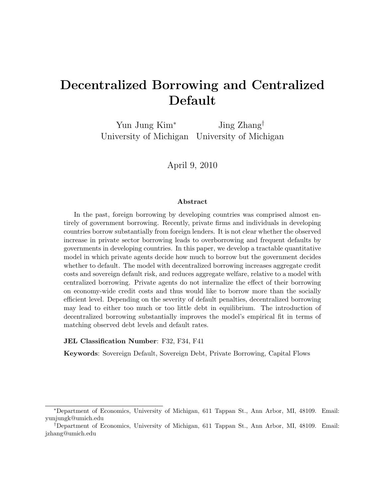# Decentralized Borrowing and Centralized Default

Yun Jung Kim<sup>∗</sup> Jing Zhang<sup>†</sup> University of Michigan University of Michigan

April 9, 2010

#### Abstract

In the past, foreign borrowing by developing countries was comprised almost entirely of government borrowing. Recently, private firms and individuals in developing countries borrow substantially from foreign lenders. It is not clear whether the observed increase in private sector borrowing leads to overborrowing and frequent defaults by governments in developing countries. In this paper, we develop a tractable quantitative model in which private agents decide how much to borrow but the government decides whether to default. The model with decentralized borrowing increases aggregate credit costs and sovereign default risk, and reduces aggregate welfare, relative to a model with centralized borrowing. Private agents do not internalize the effect of their borrowing on economy-wide credit costs and thus would like to borrow more than the socially efficient level. Depending on the severity of default penalties, decentralized borrowing may lead to either too much or too little debt in equilibrium. The introduction of decentralized borrowing substantially improves the model's empirical fit in terms of matching observed debt levels and default rates.

#### JEL Classification Number: F32, F34, F41

Keywords: Sovereign Default, Sovereign Debt, Private Borrowing, Capital Flows

<sup>∗</sup>Department of Economics, University of Michigan, 611 Tappan St., Ann Arbor, MI, 48109. Email: yunjungk@umich.edu

<sup>†</sup>Department of Economics, University of Michigan, 611 Tappan St., Ann Arbor, MI, 48109. Email: jzhang@umich.edu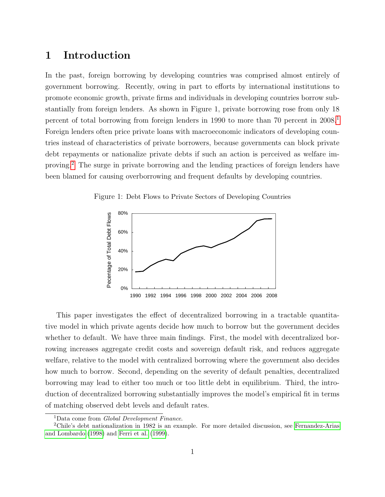### 1 Introduction

In the past, foreign borrowing by developing countries was comprised almost entirely of government borrowing. Recently, owing in part to efforts by international institutions to promote economic growth, private firms and individuals in developing countries borrow substantially from foreign lenders. As shown in Figure 1, private borrowing rose from only 18 percent of total borrowing from foreign lenders in [1](#page-2-0)990 to more than 70 percent in 2008.<sup>1</sup> Foreign lenders often price private loans with macroeconomic indicators of developing countries instead of characteristics of private borrowers, because governments can block private debt repayments or nationalize private debts if such an action is perceived as welfare improving.[2](#page-2-1) The surge in private borrowing and the lending practices of foreign lenders have been blamed for causing overborrowing and frequent defaults by developing countries.

Figure 1: Debt Flows to Private Sectors of Developing Countries



This paper investigates the effect of decentralized borrowing in a tractable quantitative model in which private agents decide how much to borrow but the government decides whether to default. We have three main findings. First, the model with decentralized borrowing increases aggregate credit costs and sovereign default risk, and reduces aggregate welfare, relative to the model with centralized borrowing where the government also decides how much to borrow. Second, depending on the severity of default penalties, decentralized borrowing may lead to either too much or too little debt in equilibrium. Third, the introduction of decentralized borrowing substantially improves the model's empirical fit in terms of matching observed debt levels and default rates.

<span id="page-2-1"></span><span id="page-2-0"></span><sup>&</sup>lt;sup>1</sup>Data come from *Global Development Finance*.

<sup>2</sup>Chile's debt nationalization in 1982 is an example. For more detailed discussion, see [Fernandez-Arias](#page-24-0) [and Lombardo](#page-24-0) [\(1998\)](#page-24-0) and [Ferri et al.](#page-24-1) [\(1999\)](#page-24-1).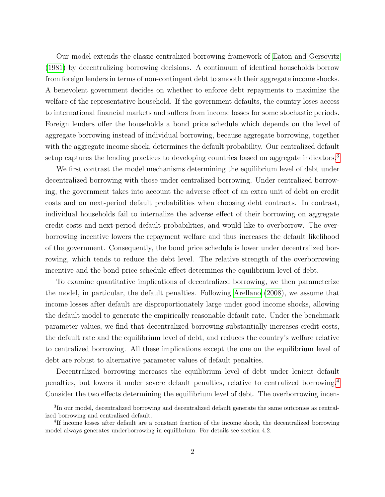Our model extends the classic centralized-borrowing framework of [Eaton and Gersovitz](#page-24-2) [\(1981\)](#page-24-2) by decentralizing borrowing decisions. A continuum of identical households borrow from foreign lenders in terms of non-contingent debt to smooth their aggregate income shocks. A benevolent government decides on whether to enforce debt repayments to maximize the welfare of the representative household. If the government defaults, the country loses access to international financial markets and suffers from income losses for some stochastic periods. Foreign lenders offer the households a bond price schedule which depends on the level of aggregate borrowing instead of individual borrowing, because aggregate borrowing, together with the aggregate income shock, determines the default probability. Our centralized default setup captures the lending practices to developing countries based on aggregate indicators.<sup>[3](#page-3-0)</sup>

We first contrast the model mechanisms determining the equilibrium level of debt under decentralized borrowing with those under centralized borrowing. Under centralized borrowing, the government takes into account the adverse effect of an extra unit of debt on credit costs and on next-period default probabilities when choosing debt contracts. In contrast, individual households fail to internalize the adverse effect of their borrowing on aggregate credit costs and next-period default probabilities, and would like to overborrow. The overborrowing incentive lowers the repayment welfare and thus increases the default likelihood of the government. Consequently, the bond price schedule is lower under decentralized borrowing, which tends to reduce the debt level. The relative strength of the overborrowing incentive and the bond price schedule effect determines the equilibrium level of debt.

To examine quantitative implications of decentralized borrowing, we then parameterize the model, in particular, the default penalties. Following [Arellano \(2008\)](#page-24-3), we assume that income losses after default are disproportionately large under good income shocks, allowing the default model to generate the empirically reasonable default rate. Under the benchmark parameter values, we find that decentralized borrowing substantially increases credit costs, the default rate and the equilibrium level of debt, and reduces the country's welfare relative to centralized borrowing. All these implications except the one on the equilibrium level of debt are robust to alternative parameter values of default penalties.

Decentralized borrowing increases the equilibrium level of debt under lenient default penalties, but lowers it under severe default penalties, relative to centralized borrowing.[4](#page-3-1) Consider the two effects determining the equilibrium level of debt. The overborrowing incen-

<span id="page-3-0"></span><sup>&</sup>lt;sup>3</sup>In our model, decentralized borrowing and decentralized default generate the same outcomes as centralized borrowing and centralized default.

<span id="page-3-1"></span><sup>&</sup>lt;sup>4</sup>If income losses after default are a constant fraction of the income shock, the decentralized borrowing model always generates underborrowing in equilibrium. For details see section 4.2.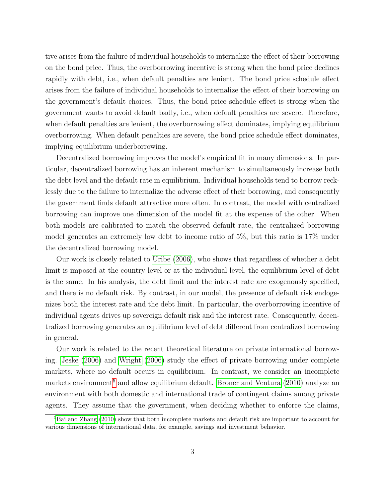tive arises from the failure of individual households to internalize the effect of their borrowing on the bond price. Thus, the overborrowing incentive is strong when the bond price declines rapidly with debt, i.e., when default penalties are lenient. The bond price schedule effect arises from the failure of individual households to internalize the effect of their borrowing on the government's default choices. Thus, the bond price schedule effect is strong when the government wants to avoid default badly, i.e., when default penalties are severe. Therefore, when default penalties are lenient, the overborrowing effect dominates, implying equilibrium overborrowing. When default penalties are severe, the bond price schedule effect dominates, implying equilibrium underborrowing.

Decentralized borrowing improves the model's empirical fit in many dimensions. In particular, decentralized borrowing has an inherent mechanism to simultaneously increase both the debt level and the default rate in equilibrium. Individual households tend to borrow recklessly due to the failure to internalize the adverse effect of their borrowing, and consequently the government finds default attractive more often. In contrast, the model with centralized borrowing can improve one dimension of the model fit at the expense of the other. When both models are calibrated to match the observed default rate, the centralized borrowing model generates an extremely low debt to income ratio of 5%, but this ratio is 17% under the decentralized borrowing model.

Our work is closely related to [Uribe \(2006\)](#page-25-0), who shows that regardless of whether a debt limit is imposed at the country level or at the individual level, the equilibrium level of debt is the same. In his analysis, the debt limit and the interest rate are exogenously specified, and there is no default risk. By contrast, in our model, the presence of default risk endogenizes both the interest rate and the debt limit. In particular, the overborrowing incentive of individual agents drives up sovereign default risk and the interest rate. Consequently, decentralized borrowing generates an equilibrium level of debt different from centralized borrowing in general.

Our work is related to the recent theoretical literature on private international borrowing. [Jeske \(2006\)](#page-25-1) and [Wright \(2006\)](#page-25-2) study the effect of private borrowing under complete markets, where no default occurs in equilibrium. In contrast, we consider an incomplete markets environment<sup>[5](#page-4-0)</sup> and allow equilibrium default. Broner and Ventura  $(2010)$  analyze an environment with both domestic and international trade of contingent claims among private agents. They assume that the government, when deciding whether to enforce the claims,

<span id="page-4-0"></span><sup>&</sup>lt;sup>5</sup>[Bai and Zhang](#page-24-5) [\(2010\)](#page-24-5) show that both incomplete markets and default risk are important to account for various dimensions of international data, for example, savings and investment behavior.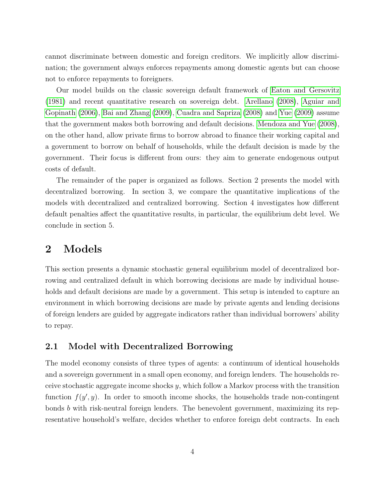cannot discriminate between domestic and foreign creditors. We implicitly allow discrimination; the government always enforces repayments among domestic agents but can choose not to enforce repayments to foreigners.

Our model builds on the classic sovereign default framework of [Eaton and Gersovitz](#page-24-2) [\(1981\)](#page-24-2) and recent quantitative research on sovereign debt. [Arellano \(2008\)](#page-24-3), [Aguiar and](#page-24-6) [Gopinath \(2006\)](#page-24-6), [Bai and Zhang \(2009\)](#page-24-7), [Cuadra and Sapriza \(2008\)](#page-24-8) and [Yue \(2009\)](#page-25-3) assume that the government makes both borrowing and default decisions. [Mendoza and Yue \(2008\)](#page-25-4), on the other hand, allow private firms to borrow abroad to finance their working capital and a government to borrow on behalf of households, while the default decision is made by the government. Their focus is different from ours: they aim to generate endogenous output costs of default.

The remainder of the paper is organized as follows. Section 2 presents the model with decentralized borrowing. In section 3, we compare the quantitative implications of the models with decentralized and centralized borrowing. Section 4 investigates how different default penalties affect the quantitative results, in particular, the equilibrium debt level. We conclude in section 5.

# 2 Models

This section presents a dynamic stochastic general equilibrium model of decentralized borrowing and centralized default in which borrowing decisions are made by individual households and default decisions are made by a government. This setup is intended to capture an environment in which borrowing decisions are made by private agents and lending decisions of foreign lenders are guided by aggregate indicators rather than individual borrowers' ability to repay.

### 2.1 Model with Decentralized Borrowing

The model economy consists of three types of agents: a continuum of identical households and a sovereign government in a small open economy, and foreign lenders. The households receive stochastic aggregate income shocks  $y$ , which follow a Markov process with the transition function  $f(y', y)$ . In order to smooth income shocks, the households trade non-contingent bonds b with risk-neutral foreign lenders. The benevolent government, maximizing its representative household's welfare, decides whether to enforce foreign debt contracts. In each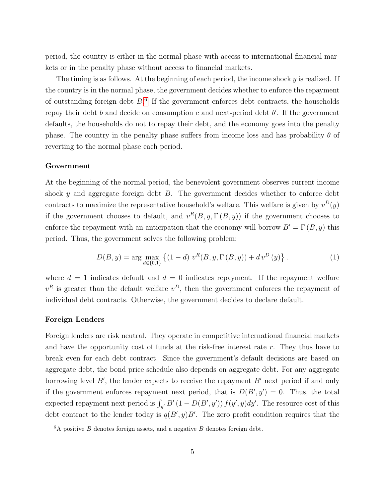period, the country is either in the normal phase with access to international financial markets or in the penalty phase without access to financial markets.

The timing is as follows. At the beginning of each period, the income shock  $y$  is realized. If the country is in the normal phase, the government decides whether to enforce the repayment of outstanding foreign debt  $B<sup>6</sup>$  $B<sup>6</sup>$  $B<sup>6</sup>$ . If the government enforces debt contracts, the households repay their debt  $b$  and decide on consumption  $c$  and next-period debt  $b'$ . If the government defaults, the households do not to repay their debt, and the economy goes into the penalty phase. The country in the penalty phase suffers from income loss and has probability  $\theta$  of reverting to the normal phase each period.

#### Government

At the beginning of the normal period, the benevolent government observes current income shock y and aggregate foreign debt  $B$ . The government decides whether to enforce debt contracts to maximize the representative household's welfare. This welfare is given by  $v^D(y)$ if the government chooses to default, and  $v^R(B, y, \Gamma(B, y))$  if the government chooses to enforce the repayment with an anticipation that the economy will borrow  $B' = \Gamma(B, y)$  this period. Thus, the government solves the following problem:

<span id="page-6-1"></span>
$$
D(B, y) = \arg \max_{d \in \{0, 1\}} \left\{ (1 - d) \ v^{R}(B, y, \Gamma(B, y)) + d \ v^{D}(y) \right\}.
$$
 (1)

where  $d = 1$  indicates default and  $d = 0$  indicates repayment. If the repayment welfare  $v<sup>R</sup>$  is greater than the default welfare  $v<sup>D</sup>$ , then the government enforces the repayment of individual debt contracts. Otherwise, the government decides to declare default.

#### Foreign Lenders

Foreign lenders are risk neutral. They operate in competitive international financial markets and have the opportunity cost of funds at the risk-free interest rate  $r$ . They thus have to break even for each debt contract. Since the government's default decisions are based on aggregate debt, the bond price schedule also depends on aggregate debt. For any aggregate borrowing level  $B'$ , the lender expects to receive the repayment  $B'$  next period if and only if the government enforces repayment next period, that is  $D(B', y') = 0$ . Thus, the total expected repayment next period is  $\int_{y'} B'(1 - D(B', y')) f(y', y) dy'$ . The resource cost of this debt contract to the lender today is  $q(B', y)B'$ . The zero profit condition requires that the

<span id="page-6-0"></span> ${}^6A$  positive B denotes foreign assets, and a negative B denotes foreign debt.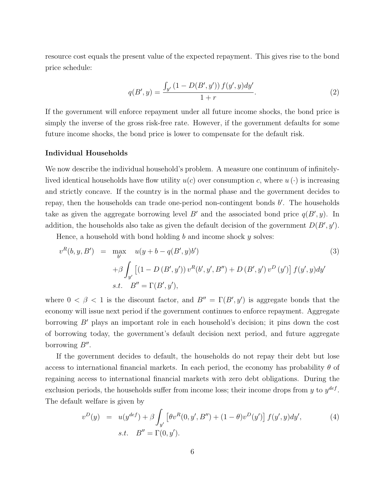resource cost equals the present value of the expected repayment. This gives rise to the bond price schedule:

$$
q(B', y) = \frac{\int_{y'} (1 - D(B', y')) f(y', y) dy'}{1 + r}.
$$
 (2)

If the government will enforce repayment under all future income shocks, the bond price is simply the inverse of the gross risk-free rate. However, if the government defaults for some future income shocks, the bond price is lower to compensate for the default risk.

#### Individual Households

We now describe the individual household's problem. A measure one continuum of infinitelylived identical households have flow utility  $u(c)$  over consumption c, where  $u(\cdot)$  is increasing and strictly concave. If the country is in the normal phase and the government decides to repay, then the households can trade one-period non-contingent bonds  $b'$ . The households take as given the aggregate borrowing level B' and the associated bond price  $q(B', y)$ . In addition, the households also take as given the default decision of the government  $D(B', y')$ .

Hence, a household with bond holding b and income shock y solves:

<span id="page-7-0"></span>
$$
v^{R}(b, y, B') = \max_{b'} u(y + b - q(B', y)b')
$$
(3)  
+  $\beta \int_{y'} [(1 - D(B', y')) v^{R}(b', y', B'') + D(B', y') v^{D}(y')] f(y', y) dy'$   
s.t.  $B'' = \Gamma(B', y'),$ 

where  $0 < \beta < 1$  is the discount factor, and  $B'' = \Gamma(B', y')$  is aggregate bonds that the economy will issue next period if the government continues to enforce repayment. Aggregate borrowing  $B'$  plays an important role in each household's decision; it pins down the cost of borrowing today, the government's default decision next period, and future aggregate borrowing  $B''$ .

If the government decides to default, the households do not repay their debt but lose access to international financial markets. In each period, the economy has probability  $\theta$  of regaining access to international financial markets with zero debt obligations. During the exclusion periods, the households suffer from income loss; their income drops from y to  $y^{def}$ . The default welfare is given by

$$
v^{D}(y) = u(y^{def}) + \beta \int_{y'} \left[ \theta v^{R}(0, y', B'') + (1 - \theta)v^{D}(y') \right] f(y', y) dy',
$$
  
s.t.  $B'' = \Gamma(0, y').$  (4)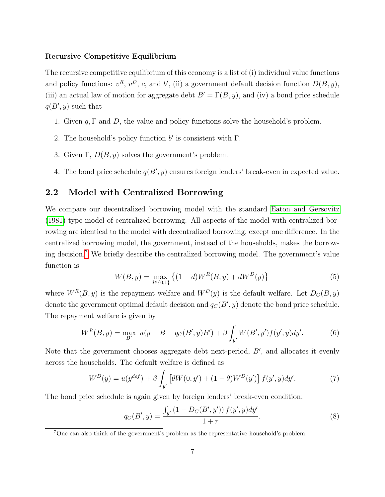#### Recursive Competitive Equilibrium

The recursive competitive equilibrium of this economy is a list of (i) individual value functions and policy functions:  $v^R$ ,  $v^D$ , c, and b', (ii) a government default decision function  $D(B, y)$ , (iii) an actual law of motion for aggregate debt  $B' = \Gamma(B, y)$ , and (iv) a bond price schedule  $q(B', y)$  such that

- 1. Given q, Γ and D, the value and policy functions solve the household's problem.
- 2. The household's policy function  $b'$  is consistent with  $\Gamma$ .
- 3. Given  $\Gamma$ ,  $D(B, y)$  solves the government's problem.
- 4. The bond price schedule  $q(B', y)$  ensures foreign lenders' break-even in expected value.

### 2.2 Model with Centralized Borrowing

We compare our decentralized borrowing model with the standard [Eaton and Gersovitz](#page-24-2) [\(1981\)](#page-24-2) type model of centralized borrowing. All aspects of the model with centralized borrowing are identical to the model with decentralized borrowing, except one difference. In the centralized borrowing model, the government, instead of the households, makes the borrowing decision.[7](#page-8-0) We briefly describe the centralized borrowing model. The government's value function is

$$
W(B, y) = \max_{d \in \{0, 1\}} \left\{ (1 - d) W^{R}(B, y) + d W^{D}(y) \right\}
$$
 (5)

where  $W^R(B, y)$  is the repayment welfare and  $W^D(y)$  is the default welfare. Let  $D_C(B, y)$ denote the government optimal default decision and  $q_C(B', y)$  denote the bond price schedule. The repayment welfare is given by

$$
W^{R}(B, y) = \max_{B'} u(y + B - q_{C}(B', y)B') + \beta \int_{y'} W(B', y') f(y', y) dy'. \tag{6}
$$

Note that the government chooses aggregate debt next-period,  $B'$ , and allocates it evenly across the households. The default welfare is defined as

$$
W^{D}(y) = u(y^{def}) + \beta \int_{y'} \left[ \theta W(0, y') + (1 - \theta) W^{D}(y') \right] f(y', y) dy'. \tag{7}
$$

The bond price schedule is again given by foreign lenders' break-even condition:

$$
q_C(B', y) = \frac{\int_{y'} (1 - D_C(B', y')) f(y', y) dy'}{1 + r}.
$$
\n(8)

<span id="page-8-0"></span> $7$ One can also think of the government's problem as the representative household's problem.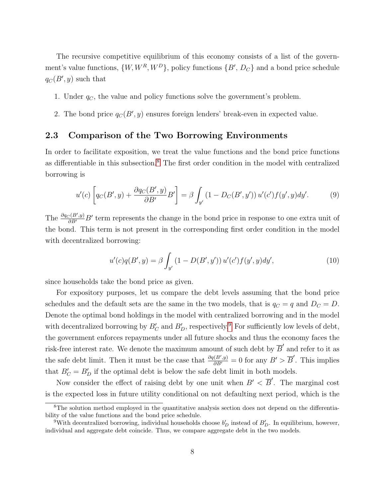The recursive competitive equilibrium of this economy consists of a list of the government's value functions,  $\{W, W^R, W^D\}$ , policy functions  $\{B', D_C\}$  and a bond price schedule  $q_C(B', y)$  such that

- 1. Under  $q_C$ , the value and policy functions solve the government's problem.
- 2. The bond price  $q_C(B', y)$  ensures foreign lenders' break-even in expected value.

### 2.3 Comparison of the Two Borrowing Environments

In order to facilitate exposition, we treat the value functions and the bond price functions as differentiable in this subsection.<sup>[8](#page-9-0)</sup> The first order condition in the model with centralized borrowing is

<span id="page-9-2"></span>
$$
u'(c)\left[q_C(B',y) + \frac{\partial q_C(B',y)}{\partial B'}B'\right] = \beta \int_{y'} \left(1 - D_C(B',y')\right) u'(c') f(y',y) dy'.\tag{9}
$$

The  $\frac{\partial q_C(B', y)}{\partial B'}$  bord represents the change in the bond price in response to one extra unit of the bond. This term is not present in the corresponding first order condition in the model with decentralized borrowing:

<span id="page-9-3"></span>
$$
u'(c)q(B',y) = \beta \int_{y'} (1 - D(B', y')) u'(c') f(y', y) dy', \qquad (10)
$$

since households take the bond price as given.

For expository purposes, let us compare the debt levels assuming that the bond price schedules and the default sets are the same in the two models, that is  $q_C = q$  and  $D_C = D$ . Denote the optimal bond holdings in the model with centralized borrowing and in the model with decentralized borrowing by  $B_C'$  and  $B_D'$ , respectively.<sup>[9](#page-9-1)</sup> For sufficiently low levels of debt, the government enforces repayments under all future shocks and thus the economy faces the risk-free interest rate. We denote the maximum amount of such debt by  $\overline{B}'$  and refer to it as the safe debt limit. Then it must be the case that  $\frac{\partial q(B', y)}{\partial B'} = 0$  for any  $B' > \overline{B}'$ . This implies that  $B'_C = B'_D$  if the optimal debt is below the safe debt limit in both models.

Now consider the effect of raising debt by one unit when  $B' < \overline{B}'$ . The marginal cost is the expected loss in future utility conditional on not defaulting next period, which is the

<span id="page-9-0"></span><sup>&</sup>lt;sup>8</sup>The solution method employed in the quantitative analysis section does not depend on the differentiability of the value functions and the bond price schedule.

<span id="page-9-1"></span><sup>&</sup>lt;sup>9</sup>With decentralized borrowing, individual households choose  $b'_D$  instead of  $B'_D$ . In equilibrium, however, individual and aggregate debt coincide. Thus, we compare aggregate debt in the two models.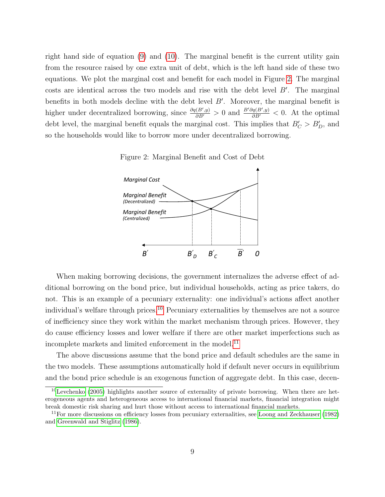right hand side of equation [\(9\)](#page-9-2) and [\(10\)](#page-9-3). The marginal benefit is the current utility gain from the resource raised by one extra unit of debt, which is the left hand side of these two equations. We plot the marginal cost and benefit for each model in Figure [2.](#page-10-0) The marginal costs are identical across the two models and rise with the debt level  $B'$ . The marginal benefits in both models decline with the debt level  $B'$ . Moreover, the marginal benefit is higher under decentralized borrowing, since  $\frac{\partial q(B', y)}{\partial B'} > 0$  and  $\frac{B'\partial q(B', y)}{\partial B'} < 0$ . At the optimal debt level, the marginal benefit equals the marginal cost. This implies that  $B'_C > B'_D$ , and so the households would like to borrow more under decentralized borrowing.

<span id="page-10-0"></span>Figure 2: Marginal Benefit and Cost of Debt



When making borrowing decisions, the government internalizes the adverse effect of additional borrowing on the bond price, but individual households, acting as price takers, do not. This is an example of a pecuniary externality: one individual's actions affect another individual's welfare through prices.<sup>[10](#page-10-1)</sup> Pecuniary externalities by themselves are not a source of inefficiency since they work within the market mechanism through prices. However, they do cause efficiency losses and lower welfare if there are other market imperfections such as incomplete markets and limited enforcement in the model.<sup>[11](#page-10-2)</sup>

The above discussions assume that the bond price and default schedules are the same in the two models. These assumptions automatically hold if default never occurs in equilibrium and the bond price schedule is an exogenous function of aggregate debt. In this case, decen-

<span id="page-10-1"></span> $10$ [Levchenko](#page-25-5) [\(2005\)](#page-25-5) highlights another source of externality of private borrowing. When there are heterogeneous agents and heterogeneous access to international financial markets, financial integration might break domestic risk sharing and hurt those without access to international financial markets.

<span id="page-10-2"></span> $11$ For more discussions on efficiency losses from pecuniary externalities, see [Loong and Zeckhauser](#page-25-6) [\(1982\)](#page-25-6) and [Greenwald and Stiglitz](#page-24-9) [\(1986\)](#page-24-9).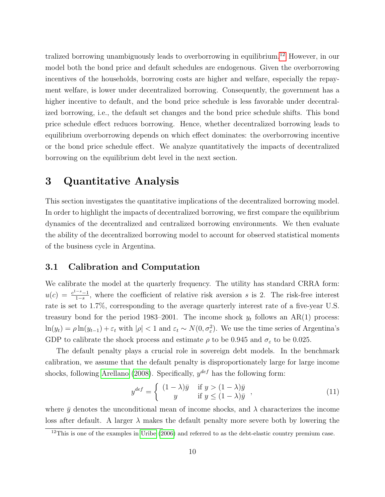tralized borrowing unambiguously leads to overborrowing in equilibrium.[12](#page-11-0) However, in our model both the bond price and default schedules are endogenous. Given the overborrowing incentives of the households, borrowing costs are higher and welfare, especially the repayment welfare, is lower under decentralized borrowing. Consequently, the government has a higher incentive to default, and the bond price schedule is less favorable under decentralized borrowing, i.e., the default set changes and the bond price schedule shifts. This bond price schedule effect reduces borrowing. Hence, whether decentralized borrowing leads to equilibrium overborrowing depends on which effect dominates: the overborrowing incentive or the bond price schedule effect. We analyze quantitatively the impacts of decentralized borrowing on the equilibrium debt level in the next section.

### 3 Quantitative Analysis

This section investigates the quantitative implications of the decentralized borrowing model. In order to highlight the impacts of decentralized borrowing, we first compare the equilibrium dynamics of the decentralized and centralized borrowing environments. We then evaluate the ability of the decentralized borrowing model to account for observed statistical moments of the business cycle in Argentina.

### 3.1 Calibration and Computation

We calibrate the model at the quarterly frequency. The utility has standard CRRA form:  $u(c) = \frac{c^{1-s}-1}{1-c}$  $\frac{-s-1}{1-s}$ , where the coefficient of relative risk aversion s is 2. The risk-free interest rate is set to 1.7%, corresponding to the average quarterly interest rate of a five-year U.S. treasury bond for the period 1983–2001. The income shock  $y_t$  follows an AR(1) process:  $\ln(y_t) = \rho \ln(y_{t-1}) + \varepsilon_t$  with  $|\rho| < 1$  and  $\varepsilon_t \sim N(0, \sigma_{\varepsilon}^2)$ . We use the time series of Argentina's GDP to calibrate the shock process and estimate  $\rho$  to be 0.945 and  $\sigma_{\varepsilon}$  to be 0.025.

The default penalty plays a crucial role in sovereign debt models. In the benchmark calibration, we assume that the default penalty is disproportionately large for large income shocks, following [Arellano \(2008\)](#page-24-3). Specifically,  $y^{def}$  has the following form:

$$
y^{def} = \begin{cases} (1 - \lambda)\bar{y} & \text{if } y > (1 - \lambda)\bar{y} \\ y & \text{if } y \le (1 - \lambda)\bar{y} \end{cases},
$$
(11)

where  $\bar{y}$  denotes the unconditional mean of income shocks, and  $\lambda$  characterizes the income loss after default. A larger  $\lambda$  makes the default penalty more severe both by lowering the

<span id="page-11-0"></span> $12$ This is one of the examples in [Uribe](#page-25-0) [\(2006\)](#page-25-0) and referred to as the debt-elastic country premium case.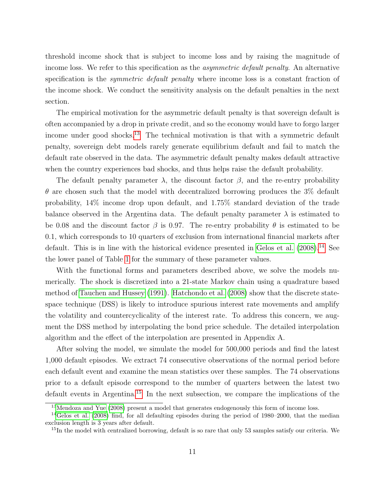threshold income shock that is subject to income loss and by raising the magnitude of income loss. We refer to this specification as the *asymmetric default penalty*. An alternative specification is the *symmetric default penalty* where income loss is a constant fraction of the income shock. We conduct the sensitivity analysis on the default penalties in the next section.

The empirical motivation for the asymmetric default penalty is that sovereign default is often accompanied by a drop in private credit, and so the economy would have to forgo larger income under good shocks.<sup>[13](#page-12-0)</sup> The technical motivation is that with a symmetric default penalty, sovereign debt models rarely generate equilibrium default and fail to match the default rate observed in the data. The asymmetric default penalty makes default attractive when the country experiences bad shocks, and thus helps raise the default probability.

The default penalty parameter  $\lambda$ , the discount factor  $\beta$ , and the re-entry probability  $\theta$  are chosen such that the model with decentralized borrowing produces the 3% default probability, 14% income drop upon default, and 1.75% standard deviation of the trade balance observed in the Argentina data. The default penalty parameter  $\lambda$  is estimated to be 0.08 and the discount factor  $\beta$  is 0.97. The re-entry probability  $\theta$  is estimated to be 0.1, which corresponds to 10 quarters of exclusion from international financial markets after default. This is in line with the historical evidence presented in Gelos et al.  $(2008).<sup>14</sup>$  $(2008).<sup>14</sup>$  $(2008).<sup>14</sup>$  See the lower panel of Table [1](#page-13-0) for the summary of these parameter values.

With the functional forms and parameters described above, we solve the models numerically. The shock is discretized into a 21-state Markov chain using a quadrature based method of [Tauchen and Hussey \(1991\)](#page-25-7). [Hatchondo et al. \(2008\)](#page-24-11) show that the discrete statespace technique (DSS) is likely to introduce spurious interest rate movements and amplify the volatility and countercyclicality of the interest rate. To address this concern, we augment the DSS method by interpolating the bond price schedule. The detailed interpolation algorithm and the effect of the interpolation are presented in Appendix A.

After solving the model, we simulate the model for 500,000 periods and find the latest 1,000 default episodes. We extract 74 consecutive observations of the normal period before each default event and examine the mean statistics over these samples. The 74 observations prior to a default episode correspond to the number of quarters between the latest two default events in Argentina.[15](#page-12-2) In the next subsection, we compare the implications of the

<span id="page-12-1"></span><span id="page-12-0"></span> $13$ [Mendoza and Yue](#page-25-4) [\(2008\)](#page-25-4) present a model that generates endogenously this form of income loss.

<sup>14</sup>[Gelos et al.](#page-24-10) [\(2008\)](#page-24-10) find, for all defaulting episodes during the period of 1980–2000, that the median exclusion length is 3 years after default.

<span id="page-12-2"></span><sup>&</sup>lt;sup>15</sup>In the model with centralized borrowing, default is so rare that only 53 samples satisfy our criteria. We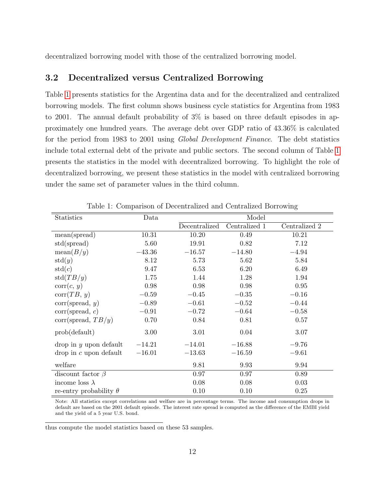decentralized borrowing model with those of the centralized borrowing model.

#### 3.2 Decentralized versus Centralized Borrowing

Table [1](#page-13-0) presents statistics for the Argentina data and for the decentralized and centralized borrowing models. The first column shows business cycle statistics for Argentina from 1983 to 2001. The annual default probability of 3% is based on three default episodes in approximately one hundred years. The average debt over GDP ratio of 43.36% is calculated for the period from 1983 to 2001 using Global Development Finance. The debt statistics include total external debt of the private and public sectors. The second column of Table [1](#page-13-0) presents the statistics in the model with decentralized borrowing. To highlight the role of decentralized borrowing, we present these statistics in the model with centralized borrowing under the same set of parameter values in the third column.

| <b>Statistics</b>             | Data     | Model         |               |               |  |
|-------------------------------|----------|---------------|---------------|---------------|--|
|                               |          | Decentralized | Centralized 1 | Centralized 2 |  |
| mean(spread)                  | 10.31    | 10.20         | 0.49          | 10.21         |  |
| std(spread)                   | 5.60     | 19.91         | 0.82          | 7.12          |  |
| mean(B/y)                     | $-43.36$ | $-16.57$      | $-14.80$      | $-4.94$       |  |
| std(y)                        | 8.12     | 5.73          | 5.62          | 5.84          |  |
| std(c)                        | 9.47     | 6.53          | 6.20          | 6.49          |  |
| std(TB/y)                     | 1.75     | 1.44          | 1.28          | 1.94          |  |
| corr(c, y)                    | 0.98     | 0.98          | 0.98          | 0.95          |  |
| corr(TB, y)                   | $-0.59$  | $-0.45$       | $-0.35$       | $-0.16$       |  |
| corr(spread, y)               | $-0.89$  | $-0.61$       | $-0.52$       | $-0.44$       |  |
| corr(spread, c)               | $-0.91$  | $-0.72$       | $-0.64$       | $-0.58$       |  |
| corr(spread, TB/y)            | 0.70     | 0.84          | 0.81          | 0.57          |  |
| prob(detault)                 | 3.00     | 3.01          | 0.04          | 3.07          |  |
| $drop$ in $y$ upon default    | $-14.21$ | $-14.01$      | $-16.88$      | $-9.76$       |  |
| $drop$ in c upon default      | $-16.01$ | $-13.63$      | $-16.59$      | $-9.61$       |  |
| welfare                       |          | 9.81          | 9.93          | 9.94          |  |
| discount factor $\beta$       |          | 0.97          | 0.97          | 0.89          |  |
| income loss $\lambda$         |          | 0.08          | 0.08          | 0.03          |  |
| re-entry probability $\theta$ |          | 0.10          | 0.10          | 0.25          |  |

<span id="page-13-0"></span>Table 1: Comparison of Decentralized and Centralized Borrowing

Note: All statistics except correlations and welfare are in percentage terms. The income and consumption drops in default are based on the 2001 default episode. The interest rate spread is computed as the difference of the EMBI yield and the yield of a 5 year U.S. bond.

thus compute the model statistics based on these 53 samples.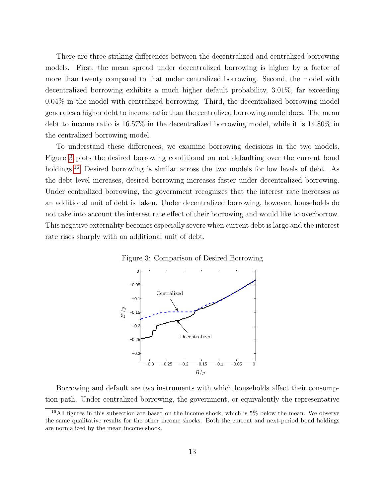There are three striking differences between the decentralized and centralized borrowing models. First, the mean spread under decentralized borrowing is higher by a factor of more than twenty compared to that under centralized borrowing. Second, the model with decentralized borrowing exhibits a much higher default probability, 3.01%, far exceeding 0.04% in the model with centralized borrowing. Third, the decentralized borrowing model generates a higher debt to income ratio than the centralized borrowing model does. The mean debt to income ratio is 16.57% in the decentralized borrowing model, while it is 14.80% in the centralized borrowing model.

To understand these differences, we examine borrowing decisions in the two models. Figure [3](#page-14-0) plots the desired borrowing conditional on not defaulting over the current bond holdings.<sup>[16](#page-14-1)</sup> Desired borrowing is similar across the two models for low levels of debt. As the debt level increases, desired borrowing increases faster under decentralized borrowing. Under centralized borrowing, the government recognizes that the interest rate increases as an additional unit of debt is taken. Under decentralized borrowing, however, households do not take into account the interest rate effect of their borrowing and would like to overborrow. This negative externality becomes especially severe when current debt is large and the interest rate rises sharply with an additional unit of debt.

<span id="page-14-0"></span>



Borrowing and default are two instruments with which households affect their consumption path. Under centralized borrowing, the government, or equivalently the representative

<span id="page-14-1"></span><sup>16</sup>All figures in this subsection are based on the income shock, which is 5% below the mean. We observe the same qualitative results for the other income shocks. Both the current and next-period bond holdings are normalized by the mean income shock.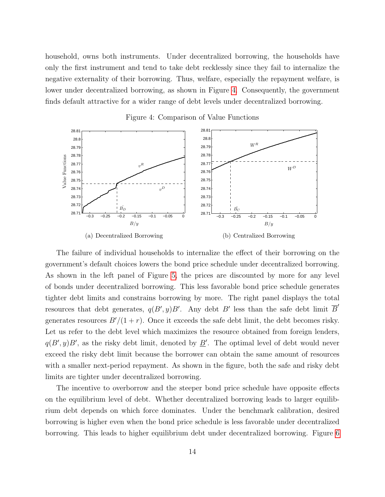household, owns both instruments. Under decentralized borrowing, the households have only the first instrument and tend to take debt recklessly since they fail to internalize the negative externality of their borrowing. Thus, welfare, especially the repayment welfare, is lower under decentralized borrowing, as shown in Figure [4.](#page-15-0) Consequently, the government finds default attractive for a wider range of debt levels under decentralized borrowing.



<span id="page-15-0"></span>Figure 4: Comparison of Value Functions

The failure of individual households to internalize the effect of their borrowing on the government's default choices lowers the bond price schedule under decentralized borrowing. As shown in the left panel of Figure [5,](#page-16-0) the prices are discounted by more for any level of bonds under decentralized borrowing. This less favorable bond price schedule generates tighter debt limits and constrains borrowing by more. The right panel displays the total resources that debt generates,  $q(B', y)B'$ . Any debt B' less than the safe debt limit  $\overline{B}'$ generates resources  $B'/(1 + r)$ . Once it exceeds the safe debt limit, the debt becomes risky. Let us refer to the debt level which maximizes the resource obtained from foreign lenders,  $q(B', y)B'$ , as the risky debt limit, denoted by  $\underline{B}'$ . The optimal level of debt would never exceed the risky debt limit because the borrower can obtain the same amount of resources with a smaller next-period repayment. As shown in the figure, both the safe and risky debt limits are tighter under decentralized borrowing.

The incentive to overborrow and the steeper bond price schedule have opposite effects on the equilibrium level of debt. Whether decentralized borrowing leads to larger equilibrium debt depends on which force dominates. Under the benchmark calibration, desired borrowing is higher even when the bond price schedule is less favorable under decentralized borrowing. This leads to higher equilibrium debt under decentralized borrowing. Figure [6](#page-17-0)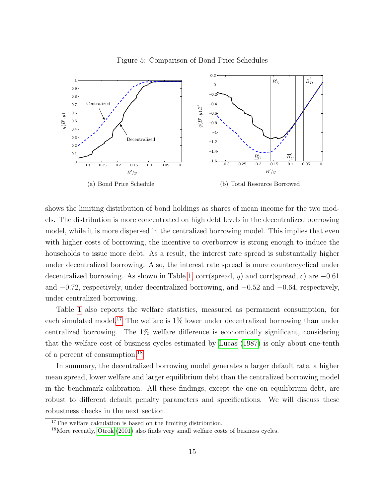

<span id="page-16-0"></span>Figure 5: Comparison of Bond Price Schedules

shows the limiting distribution of bond holdings as shares of mean income for the two models. The distribution is more concentrated on high debt levels in the decentralized borrowing model, while it is more dispersed in the centralized borrowing model. This implies that even with higher costs of borrowing, the incentive to overborrow is strong enough to induce the households to issue more debt. As a result, the interest rate spread is substantially higher under decentralized borrowing. Also, the interest rate spread is more countercyclical under decentralized borrowing. As shown in Table [1,](#page-13-0) corr(spread, y) and corr(spread, c) are  $-0.61$ and  $-0.72$ , respectively, under decentralized borrowing, and  $-0.52$  and  $-0.64$ , respectively, under centralized borrowing.

Table [1](#page-13-0) also reports the welfare statistics, measured as permanent consumption, for each simulated model.<sup>[17](#page-16-1)</sup> The welfare is  $1\%$  lower under decentralized borrowing than under centralized borrowing. The 1% welfare difference is economically significant, considering that the welfare cost of business cycles estimated by [Lucas \(1987\)](#page-25-8) is only about one-tenth of a percent of consumption.[18](#page-16-2)

In summary, the decentralized borrowing model generates a larger default rate, a higher mean spread, lower welfare and larger equilibrium debt than the centralized borrowing model in the benchmark calibration. All these findings, except the one on equilibrium debt, are robust to different default penalty parameters and specifications. We will discuss these robustness checks in the next section.

<span id="page-16-1"></span><sup>&</sup>lt;sup>17</sup>The welfare calculation is based on the limiting distribution.

<span id="page-16-2"></span><sup>&</sup>lt;sup>18</sup>More recently, [Otrok](#page-25-9) [\(2001\)](#page-25-9) also finds very small welfare costs of business cycles.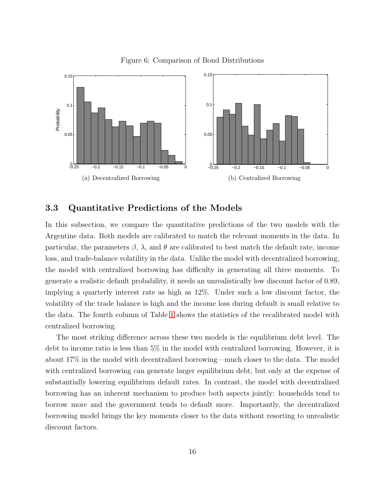

<span id="page-17-0"></span>Figure 6: Comparison of Bond Distributions

#### 3.3 Quantitative Predictions of the Models

In this subsection, we compare the quantitative predictions of the two models with the Argentine data. Both models are calibrated to match the relevant moments in the data. In particular, the parameters  $\beta$ ,  $\lambda$ , and  $\theta$  are calibrated to best match the default rate, income loss, and trade-balance volatility in the data. Unlike the model with decentralized borrowing, the model with centralized borrowing has difficulty in generating all three moments. To generate a realistic default probability, it needs an unrealistically low discount factor of 0.89, implying a quarterly interest rate as high as 12%. Under such a low discount factor, the volatility of the trade balance is high and the income loss during default is small relative to the data. The fourth column of Table [1](#page-13-0) shows the statistics of the recalibrated model with centralized borrowing.

The most striking difference across these two models is the equilibrium debt level. The debt to income ratio is less than 5% in the model with centralized borrowing. However, it is about 17% in the model with decentralized borrowing—much closer to the data. The model with centralized borrowing can generate larger equilibrium debt, but only at the expense of substantially lowering equilibrium default rates. In contrast, the model with decentralized borrowing has an inherent mechanism to produce both aspects jointly: households tend to borrow more and the government tends to default more. Importantly, the decentralized borrowing model brings the key moments closer to the data without resorting to unrealistic discount factors.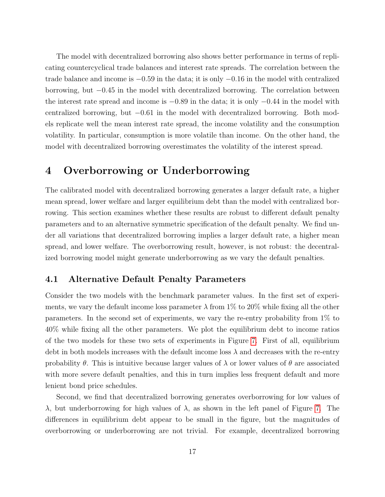The model with decentralized borrowing also shows better performance in terms of replicating countercyclical trade balances and interest rate spreads. The correlation between the trade balance and income is −0.59 in the data; it is only −0.16 in the model with centralized borrowing, but −0.45 in the model with decentralized borrowing. The correlation between the interest rate spread and income is  $-0.89$  in the data; it is only  $-0.44$  in the model with centralized borrowing, but  $-0.61$  in the model with decentralized borrowing. Both models replicate well the mean interest rate spread, the income volatility and the consumption volatility. In particular, consumption is more volatile than income. On the other hand, the model with decentralized borrowing overestimates the volatility of the interest spread.

# 4 Overborrowing or Underborrowing

The calibrated model with decentralized borrowing generates a larger default rate, a higher mean spread, lower welfare and larger equilibrium debt than the model with centralized borrowing. This section examines whether these results are robust to different default penalty parameters and to an alternative symmetric specification of the default penalty. We find under all variations that decentralized borrowing implies a larger default rate, a higher mean spread, and lower welfare. The overborrowing result, however, is not robust: the decentralized borrowing model might generate underborrowing as we vary the default penalties.

### 4.1 Alternative Default Penalty Parameters

Consider the two models with the benchmark parameter values. In the first set of experiments, we vary the default income loss parameter  $\lambda$  from 1% to 20% while fixing all the other parameters. In the second set of experiments, we vary the re-entry probability from 1% to 40% while fixing all the other parameters. We plot the equilibrium debt to income ratios of the two models for these two sets of experiments in Figure [7.](#page-19-0) First of all, equilibrium debt in both models increases with the default income loss  $\lambda$  and decreases with the re-entry probability  $\theta$ . This is intuitive because larger values of  $\lambda$  or lower values of  $\theta$  are associated with more severe default penalties, and this in turn implies less frequent default and more lenient bond price schedules.

Second, we find that decentralized borrowing generates overborrowing for low values of λ, but underborrowing for high values of λ, as shown in the left panel of Figure [7.](#page-19-0) The differences in equilibrium debt appear to be small in the figure, but the magnitudes of overborrowing or underborrowing are not trivial. For example, decentralized borrowing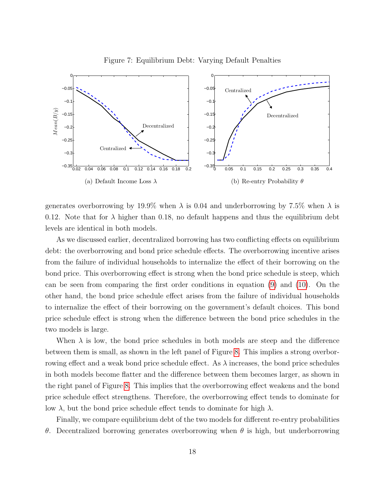

<span id="page-19-0"></span>Figure 7: Equilibrium Debt: Varying Default Penalties

generates overborrowing by 19.9% when  $\lambda$  is 0.04 and underborrowing by 7.5% when  $\lambda$  is 0.12. Note that for  $\lambda$  higher than 0.18, no default happens and thus the equilibrium debt levels are identical in both models.

As we discussed earlier, decentralized borrowing has two conflicting effects on equilibrium debt: the overborrowing and bond price schedule effects. The overborrowing incentive arises from the failure of individual households to internalize the effect of their borrowing on the bond price. This overborrowing effect is strong when the bond price schedule is steep, which can be seen from comparing the first order conditions in equation [\(9\)](#page-9-2) and [\(10\)](#page-9-3). On the other hand, the bond price schedule effect arises from the failure of individual households to internalize the effect of their borrowing on the government's default choices. This bond price schedule effect is strong when the difference between the bond price schedules in the two models is large.

When  $\lambda$  is low, the bond price schedules in both models are steep and the difference between them is small, as shown in the left panel of Figure [8.](#page-20-0) This implies a strong overborrowing effect and a weak bond price schedule effect. As  $\lambda$  increases, the bond price schedules in both models become flatter and the difference between them becomes larger, as shown in the right panel of Figure [8.](#page-20-0) This implies that the overborrowing effect weakens and the bond price schedule effect strengthens. Therefore, the overborrowing effect tends to dominate for low λ, but the bond price schedule effect tends to dominate for high  $λ$ .

Finally, we compare equilibrium debt of the two models for different re-entry probabilities θ. Decentralized borrowing generates overborrowing when θ is high, but underborrowing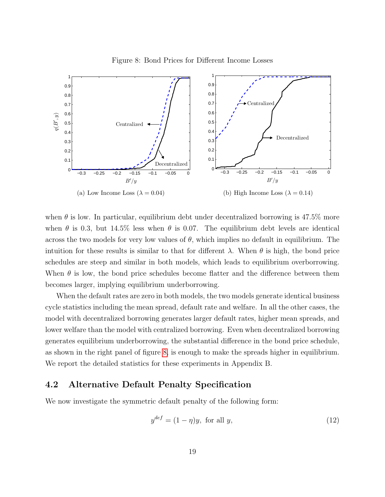<span id="page-20-0"></span>



when  $\theta$  is low. In particular, equilibrium debt under decentralized borrowing is 47.5% more when  $\theta$  is 0.3, but 14.5% less when  $\theta$  is 0.07. The equilibrium debt levels are identical across the two models for very low values of  $\theta$ , which implies no default in equilibrium. The intuition for these results is similar to that for different  $\lambda$ . When  $\theta$  is high, the bond price schedules are steep and similar in both models, which leads to equilibrium overborrowing. When  $\theta$  is low, the bond price schedules become flatter and the difference between them becomes larger, implying equilibrium underborrowing.

When the default rates are zero in both models, the two models generate identical business cycle statistics including the mean spread, default rate and welfare. In all the other cases, the model with decentralized borrowing generates larger default rates, higher mean spreads, and lower welfare than the model with centralized borrowing. Even when decentralized borrowing generates equilibrium underborrowing, the substantial difference in the bond price schedule, as shown in the right panel of figure [8,](#page-20-0) is enough to make the spreads higher in equilibrium. We report the detailed statistics for these experiments in Appendix B.

### 4.2 Alternative Default Penalty Specification

We now investigate the symmetric default penalty of the following form:

$$
y^{def} = (1 - \eta)y, \text{ for all } y,
$$
\n
$$
(12)
$$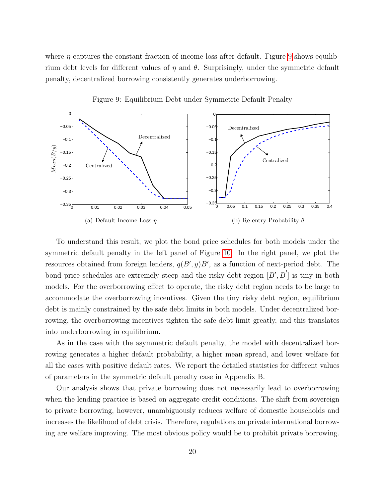where  $\eta$  captures the constant fraction of income loss after default. Figure [9](#page-21-0) shows equilibrium debt levels for different values of  $\eta$  and  $\theta$ . Surprisingly, under the symmetric default penalty, decentralized borrowing consistently generates underborrowing.



<span id="page-21-0"></span>Figure 9: Equilibrium Debt under Symmetric Default Penalty

To understand this result, we plot the bond price schedules for both models under the symmetric default penalty in the left panel of Figure [10.](#page-22-0) In the right panel, we plot the resources obtained from foreign lenders,  $q(B', y)B'$ , as a function of next-period debt. The bond price schedules are extremely steep and the risky-debt region  $[\underline{B}', \overline{B}']$  is tiny in both models. For the overborrowing effect to operate, the risky debt region needs to be large to accommodate the overborrowing incentives. Given the tiny risky debt region, equilibrium debt is mainly constrained by the safe debt limits in both models. Under decentralized borrowing, the overborrowing incentives tighten the safe debt limit greatly, and this translates into underborrowing in equilibrium.

As in the case with the asymmetric default penalty, the model with decentralized borrowing generates a higher default probability, a higher mean spread, and lower welfare for all the cases with positive default rates. We report the detailed statistics for different values of parameters in the symmetric default penalty case in Appendix B.

Our analysis shows that private borrowing does not necessarily lead to overborrowing when the lending practice is based on aggregate credit conditions. The shift from sovereign to private borrowing, however, unambiguously reduces welfare of domestic households and increases the likelihood of debt crisis. Therefore, regulations on private international borrowing are welfare improving. The most obvious policy would be to prohibit private borrowing.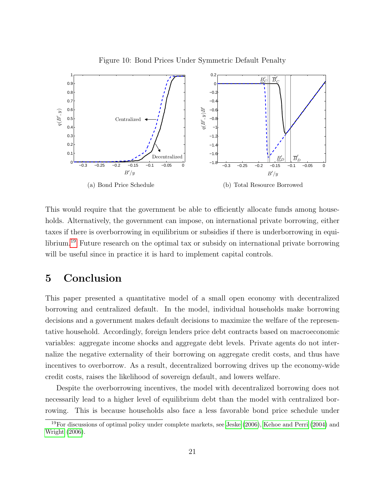

<span id="page-22-0"></span>Figure 10: Bond Prices Under Symmetric Default Penalty

This would require that the government be able to efficiently allocate funds among households. Alternatively, the government can impose, on international private borrowing, either taxes if there is overborrowing in equilibrium or subsidies if there is underborrowing in equilibrium.[19](#page-22-1) Future research on the optimal tax or subsidy on international private borrowing will be useful since in practice it is hard to implement capital controls.

# 5 Conclusion

This paper presented a quantitative model of a small open economy with decentralized borrowing and centralized default. In the model, individual households make borrowing decisions and a government makes default decisions to maximize the welfare of the representative household. Accordingly, foreign lenders price debt contracts based on macroeconomic variables: aggregate income shocks and aggregate debt levels. Private agents do not internalize the negative externality of their borrowing on aggregate credit costs, and thus have incentives to overborrow. As a result, decentralized borrowing drives up the economy-wide credit costs, raises the likelihood of sovereign default, and lowers welfare.

Despite the overborrowing incentives, the model with decentralized borrowing does not necessarily lead to a higher level of equilibrium debt than the model with centralized borrowing. This is because households also face a less favorable bond price schedule under

<span id="page-22-1"></span><sup>19</sup>For discussions of optimal policy under complete markets, see [Jeske](#page-25-1) [\(2006\)](#page-25-1), [Kehoe and Perri](#page-25-10) [\(2004\)](#page-25-10) and [Wright](#page-25-2) [\(2006\)](#page-25-2).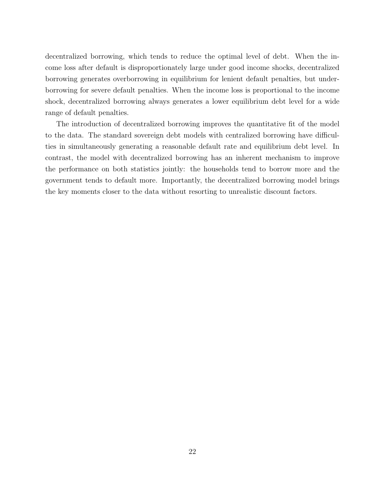decentralized borrowing, which tends to reduce the optimal level of debt. When the income loss after default is disproportionately large under good income shocks, decentralized borrowing generates overborrowing in equilibrium for lenient default penalties, but underborrowing for severe default penalties. When the income loss is proportional to the income shock, decentralized borrowing always generates a lower equilibrium debt level for a wide range of default penalties.

The introduction of decentralized borrowing improves the quantitative fit of the model to the data. The standard sovereign debt models with centralized borrowing have difficulties in simultaneously generating a reasonable default rate and equilibrium debt level. In contrast, the model with decentralized borrowing has an inherent mechanism to improve the performance on both statistics jointly: the households tend to borrow more and the government tends to default more. Importantly, the decentralized borrowing model brings the key moments closer to the data without resorting to unrealistic discount factors.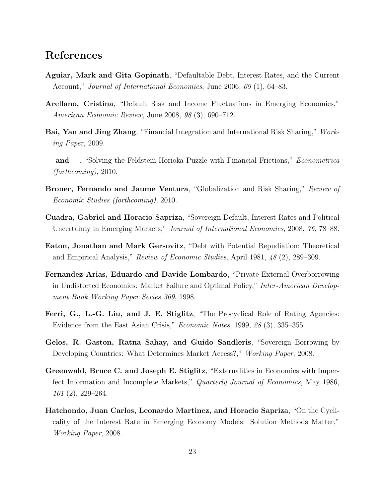## References

- <span id="page-24-6"></span>Aguiar, Mark and Gita Gopinath, "Defaultable Debt, Interest Rates, and the Current Account," Journal of International Economics, June 2006, 69 (1), 64–83.
- <span id="page-24-3"></span>Arellano, Cristina, "Default Risk and Income Fluctuations in Emerging Economies," American Economic Review, June 2008, 98 (3), 690–712.
- <span id="page-24-7"></span>Bai, Yan and Jing Zhang, "Financial Integration and International Risk Sharing," Working Paper, 2009.
- <span id="page-24-5"></span>and  $\Box$ , "Solving the Feldstein-Horioka Puzzle with Financial Frictions," *Econometrica* (forthcoming), 2010.
- <span id="page-24-4"></span>Broner, Fernando and Jaume Ventura, "Globalization and Risk Sharing," Review of Economic Studies (forthcoming), 2010.
- <span id="page-24-8"></span>Cuadra, Gabriel and Horacio Sapriza, "Sovereign Default, Interest Rates and Political Uncertainty in Emerging Markets," Journal of International Economics, 2008, 76, 78–88.
- <span id="page-24-2"></span>Eaton, Jonathan and Mark Gersovitz, "Debt with Potential Repudiation: Theoretical and Empirical Analysis," Review of Economic Studies, April 1981, 48 (2), 289–309.
- <span id="page-24-0"></span>Fernandez-Arias, Eduardo and Davide Lombardo, "Private External Overborrowing in Undistorted Economies: Market Failure and Optimal Policy," Inter-American Development Bank Working Paper Series 369, 1998.
- <span id="page-24-1"></span>Ferri, G., L.-G. Liu, and J. E. Stiglitz, "The Procyclical Role of Rating Agencies: Evidence from the East Asian Crisis," Economic Notes, 1999, 28 (3), 335–355.
- <span id="page-24-10"></span>Gelos, R. Gaston, Ratna Sahay, and Guido Sandleris, "Sovereign Borrowing by Developing Countries: What Determines Market Access?," Working Paper, 2008.
- <span id="page-24-9"></span>Greenwald, Bruce C. and Joseph E. Stiglitz, "Externalities in Economies with Imperfect Information and Incomplete Markets," Quarterly Journal of Economics, May 1986, 101 (2), 229–264.
- <span id="page-24-11"></span>Hatchondo, Juan Carlos, Leonardo Martinez, and Horacio Sapriza, "On the Cyclicality of the Interest Rate in Emerging Economy Models: Solution Methods Matter," Working Paper, 2008.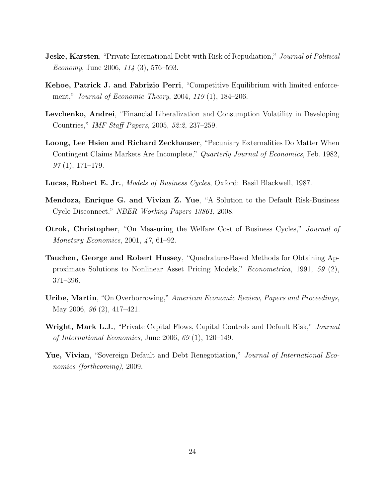- <span id="page-25-1"></span>**Jeske, Karsten**, "Private International Debt with Risk of Repudiation," *Journal of Political* Economy, June 2006, 114 (3), 576–593.
- <span id="page-25-10"></span>Kehoe, Patrick J. and Fabrizio Perri, "Competitive Equilibrium with limited enforcement," Journal of Economic Theory, 2004, 119 (1), 184–206.
- <span id="page-25-5"></span>Levchenko, Andrei, "Financial Liberalization and Consumption Volatility in Developing Countries," IMF Staff Papers, 2005, 52:2, 237–259.
- <span id="page-25-6"></span>Loong, Lee Hsien and Richard Zeckhauser, "Pecuniary Externalities Do Matter When Contingent Claims Markets Are Incomplete," Quarterly Journal of Economics, Feb. 1982,  $97(1), 171-179.$
- <span id="page-25-8"></span>Lucas, Robert E. Jr., Models of Business Cycles, Oxford: Basil Blackwell, 1987.
- <span id="page-25-4"></span>Mendoza, Enrique G. and Vivian Z. Yue, "A Solution to the Default Risk-Business Cycle Disconnect," NBER Working Papers 13861, 2008.
- <span id="page-25-9"></span>**Otrok, Christopher**, "On Measuring the Welfare Cost of Business Cycles," *Journal of* Monetary Economics, 2001, 47, 61–92.
- <span id="page-25-7"></span>Tauchen, George and Robert Hussey, "Quadrature-Based Methods for Obtaining Approximate Solutions to Nonlinear Asset Pricing Models," Econometrica, 1991, 59 (2), 371–396.
- <span id="page-25-0"></span>Uribe, Martin, "On Overborrowing," American Economic Review, Papers and Proceedings, May 2006, 96 (2), 417–421.
- <span id="page-25-2"></span>**Wright, Mark L.J.**, "Private Capital Flows, Capital Controls and Default Risk," *Journal* of International Economics, June 2006, 69 (1), 120–149.
- <span id="page-25-3"></span>Yue, Vivian, "Sovereign Default and Debt Renegotiation," Journal of International Economics (forthcoming), 2009.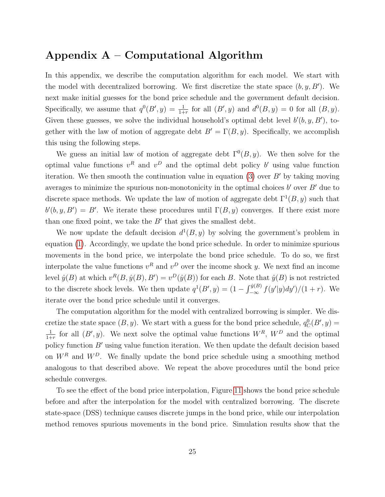## Appendix  $A -$  Computational Algorithm

In this appendix, we describe the computation algorithm for each model. We start with the model with decentralized borrowing. We first discretize the state space  $(b, y, B')$ . We next make initial guesses for the bond price schedule and the government default decision. Specifically, we assume that  $q^0(B', y) = \frac{1}{1+r}$  for all  $(B', y)$  and  $d^0(B, y) = 0$  for all  $(B, y)$ . Given these guesses, we solve the individual household's optimal debt level  $b'(b, y, B')$ , together with the law of motion of aggregate debt  $B' = \Gamma(B, y)$ . Specifically, we accomplish this using the following steps.

We guess an initial law of motion of aggregate debt  $\Gamma^{0}(B, y)$ . We then solve for the optimal value functions  $v^R$  and  $v^D$  and the optimal debt policy b' using value function iteration. We then smooth the continuation value in equation [\(3\)](#page-7-0) over  $B'$  by taking moving averages to minimize the spurious non-monotonicity in the optimal choices  $b'$  over  $B'$  due to discrete space methods. We update the law of motion of aggregate debt  $\Gamma^1(B, y)$  such that  $b'(b, y, B') = B'$ . We iterate these procedures until  $\Gamma(B, y)$  converges. If there exist more than one fixed point, we take the  $B'$  that gives the smallest debt.

We now update the default decision  $d^1(B, y)$  by solving the government's problem in equation [\(1\)](#page-6-1). Accordingly, we update the bond price schedule. In order to minimize spurious movements in the bond price, we interpolate the bond price schedule. To do so, we first interpolate the value functions  $v^R$  and  $v^D$  over the income shock y. We next find an income level  $\hat{y}(B)$  at which  $v^R(B, \hat{y}(B), B') = v^D(\hat{y}(B))$  for each B. Note that  $\hat{y}(B)$  is not restricted to the discrete shock levels. We then update  $q^1(B', y) = (1 - \int_{-\infty}^{\hat{y}(B)} f(y'|y) dy')/(1+r)$ . We iterate over the bond price schedule until it converges.

The computation algorithm for the model with centralized borrowing is simpler. We discretize the state space  $(B, y)$ . We start with a guess for the bond price schedule,  $q_C^0(B', y) =$ 1  $\frac{1}{1+r}$  for all  $(B', y)$ . We next solve the optimal value functions  $W^R$ ,  $W^D$  and the optimal policy function  $B'$  using value function iteration. We then update the default decision based on  $W^R$  and  $W^D$ . We finally update the bond price schedule using a smoothing method analogous to that described above. We repeat the above procedures until the bond price schedule converges.

To see the effect of the bond price interpolation, Figure [11](#page-27-0) shows the bond price schedule before and after the interpolation for the model with centralized borrowing. The discrete state-space (DSS) technique causes discrete jumps in the bond price, while our interpolation method removes spurious movements in the bond price. Simulation results show that the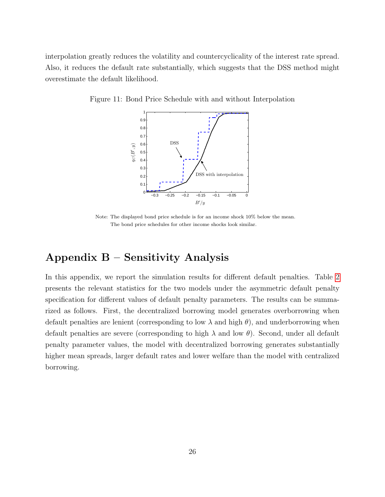interpolation greatly reduces the volatility and countercyclicality of the interest rate spread. Also, it reduces the default rate substantially, which suggests that the DSS method might overestimate the default likelihood.

Figure 11: Bond Price Schedule with and without Interpolation

<span id="page-27-0"></span>

Note: The displayed bond price schedule is for an income shock 10% below the mean. The bond price schedules for other income shocks look similar.

# Appendix B – Sensitivity Analysis

In this appendix, we report the simulation results for different default penalties. Table [2](#page-28-0) presents the relevant statistics for the two models under the asymmetric default penalty specification for different values of default penalty parameters. The results can be summarized as follows. First, the decentralized borrowing model generates overborrowing when default penalties are lenient (corresponding to low  $\lambda$  and high  $\theta$ ), and underborrowing when default penalties are severe (corresponding to high  $\lambda$  and low  $\theta$ ). Second, under all default penalty parameter values, the model with decentralized borrowing generates substantially higher mean spreads, larger default rates and lower welfare than the model with centralized borrowing.